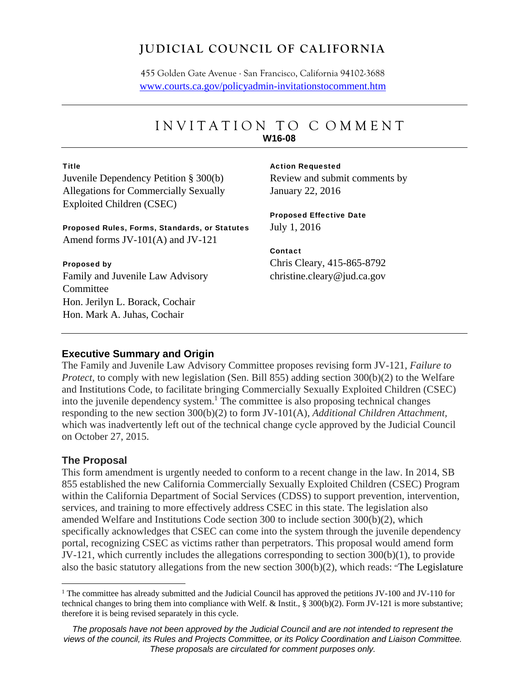## **JUDICIAL COUNCIL OF CALIFORNIA**

455 Golden Gate Avenue . San Francisco, California 94102-3688 www.courts.ca.gov/policyadmin-invitationstocomment.htm

## INVITATION TO C OMMEN T **W16-08**

#### **Title**

Juvenile Dependency Petition § 300(b) Allegations for Commercially Sexually Exploited Children (CSEC)

Proposed Rules, Forms, Standards, or Statutes Amend forms JV-101(A) and JV-121

#### Proposed by

Family and Juvenile Law Advisory Committee Hon. Jerilyn L. Borack, Cochair Hon. Mark A. Juhas, Cochair

#### Action Requested

Review and submit comments by January 22, 2016

#### Proposed Effective Date July 1, 2016

## Contact Chris Cleary, 415-865-8792 christine.cleary@jud.ca.gov

#### **Executive Summary and Origin**

The Family and Juvenile Law Advisory Committee proposes revising form JV-121, *Failure to Protect,* to comply with new legislation (Sen. Bill 855) adding section 300(b)(2) to the Welfare and Institutions Code, to facilitate bringing Commercially Sexually Exploited Children (CSEC) into the juvenile dependency system.<sup>1</sup> The committee is also proposing technical changes responding to the new section 300(b)(2) to form JV-101(A), *Additional Children Attachment,*  which was inadvertently left out of the technical change cycle approved by the Judicial Council on October 27, 2015.

#### **The Proposal**

This form amendment is urgently needed to conform to a recent change in the law. In 2014, SB 855 established the new California Commercially Sexually Exploited Children (CSEC) Program within the California Department of Social Services (CDSS) to support prevention, intervention, services, and training to more effectively address CSEC in this state. The legislation also amended Welfare and Institutions Code section 300 to include section 300(b)(2), which specifically acknowledges that CSEC can come into the system through the juvenile dependency portal, recognizing CSEC as victims rather than perpetrators. This proposal would amend form JV-121, which currently includes the allegations corresponding to section 300(b)(1), to provide also the basic statutory allegations from the new section 300(b)(2), which reads: "The Legislature

<sup>&</sup>lt;sup>1</sup> The committee has already submitted and the Judicial Council has approved the petitions JV-100 and JV-110 for technical changes to bring them into compliance with Welf. & Instit., § 300(b)(2). Form JV-121 is more substantive; therefore it is being revised separately in this cycle.

*The proposals have not been approved by the Judicial Council and are not intended to represent the views of the council, its Rules and Projects Committee, or its Policy Coordination and Liaison Committee. These proposals are circulated for comment purposes only.*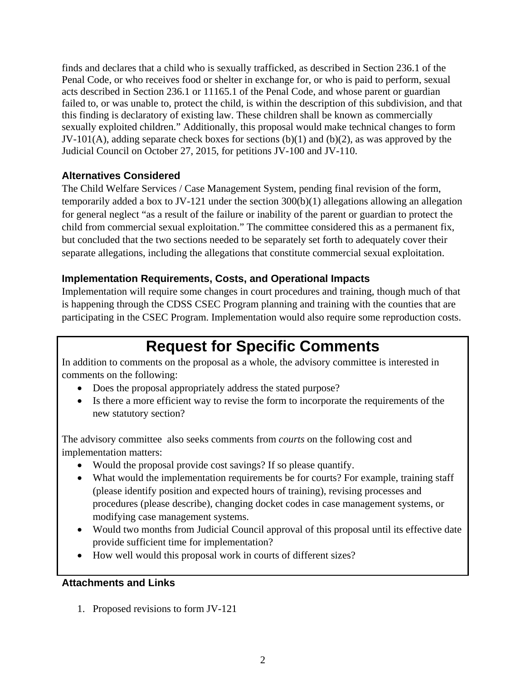finds and declares that a child who is sexually trafficked, as described in Section 236.1 of the Penal Code, or who receives food or shelter in exchange for, or who is paid to perform, sexual acts described in Section 236.1 or 11165.1 of the Penal Code, and whose parent or guardian failed to, or was unable to, protect the child, is within the description of this subdivision, and that this finding is declaratory of existing law. These children shall be known as commercially sexually exploited children." Additionally, this proposal would make technical changes to form JV-101(A), adding separate check boxes for sections  $(b)(1)$  and  $(b)(2)$ , as was approved by the Judicial Council on October 27, 2015, for petitions JV-100 and JV-110.

## **Alternatives Considered**

The Child Welfare Services / Case Management System, pending final revision of the form, temporarily added a box to JV-121 under the section 300(b)(1) allegations allowing an allegation for general neglect "as a result of the failure or inability of the parent or guardian to protect the child from commercial sexual exploitation." The committee considered this as a permanent fix, but concluded that the two sections needed to be separately set forth to adequately cover their separate allegations, including the allegations that constitute commercial sexual exploitation.

## **Implementation Requirements, Costs, and Operational Impacts**

Implementation will require some changes in court procedures and training, though much of that is happening through the CDSS CSEC Program planning and training with the counties that are participating in the CSEC Program. Implementation would also require some reproduction costs.

# **Request for Specific Comments**

In addition to comments on the proposal as a whole, the advisory committee is interested in comments on the following:

- Does the proposal appropriately address the stated purpose?
- Is there a more efficient way to revise the form to incorporate the requirements of the new statutory section?

The advisory committee also seeks comments from *courts* on the following cost and implementation matters:

- Would the proposal provide cost savings? If so please quantify.
- What would the implementation requirements be for courts? For example, training staff (please identify position and expected hours of training), revising processes and procedures (please describe), changing docket codes in case management systems, or modifying case management systems.
- Would two months from Judicial Council approval of this proposal until its effective date provide sufficient time for implementation?
- How well would this proposal work in courts of different sizes?

## **Attachments and Links**

1. Proposed revisions to form JV-121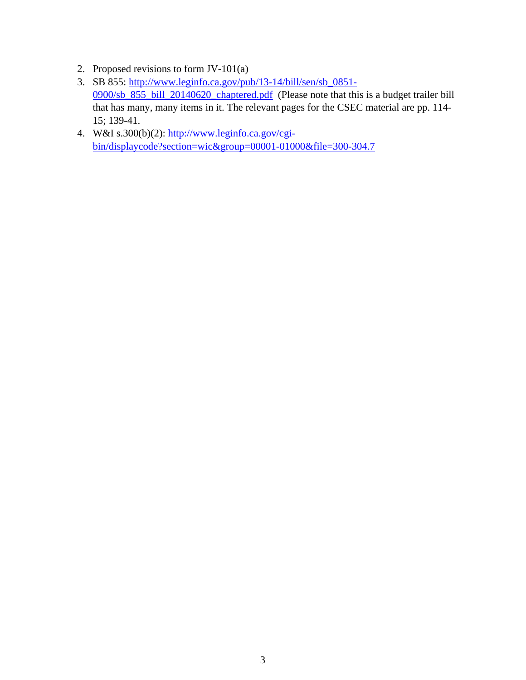- 2. Proposed revisions to form JV-101(a)
- 3. SB 855: http://www.leginfo.ca.gov/pub/13-14/bill/sen/sb\_0851- 0900/sb\_855\_bill\_20140620\_chaptered.pdf (Please note that this is a budget trailer bill that has many, many items in it. The relevant pages for the CSEC material are pp. 114- 15; 139-41.
- 4. W&I s.300(b)(2): http://www.leginfo.ca.gov/cgibin/displaycode?section=wic&group=00001-01000&file=300-304.7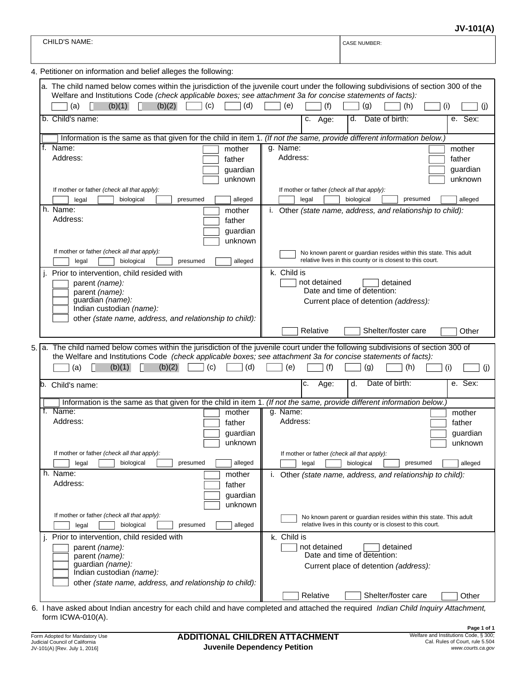**JV-101(A)**

|                                                                                                                                                                                                                                                                                               | JV-IUI(A                                                                                                                                                                                             |
|-----------------------------------------------------------------------------------------------------------------------------------------------------------------------------------------------------------------------------------------------------------------------------------------------|------------------------------------------------------------------------------------------------------------------------------------------------------------------------------------------------------|
| <b>CHILD'S NAME:</b>                                                                                                                                                                                                                                                                          | <b>CASE NUMBER:</b>                                                                                                                                                                                  |
| 4. Petitioner on information and belief alleges the following:                                                                                                                                                                                                                                |                                                                                                                                                                                                      |
| Welfare and Institutions Code (check applicable boxes; see attachment 3a for concise statements of facts):<br>(c)<br>(d)<br>(b)(1)<br>(b)(2)<br>(a)                                                                                                                                           | a. The child named below comes within the jurisdiction of the juvenile court under the following subdivisions of section 300 of the<br>(e)<br>(g)<br>(f)<br>(h)<br>(1)<br>$\left( \mathrm{I}\right)$ |
| b. Child's name:                                                                                                                                                                                                                                                                              | e. Sex:<br>Date of birth:<br>$\overline{c}$ . Age:<br>d.                                                                                                                                             |
| Information is the same as that given for the child in item 1. (If not the same, provide different information below.)                                                                                                                                                                        |                                                                                                                                                                                                      |
| f. Name:<br>mother<br>Address:<br>father<br>guardian<br>unknown<br>If mother or father (check all that apply):                                                                                                                                                                                | g. Name:<br>mother<br>Address:<br>father<br>guardian<br>unknown<br>If mother or father (check all that apply):                                                                                       |
| biological<br>legal<br>presumed<br>alleged                                                                                                                                                                                                                                                    | biological<br>alleged<br>legal<br>presumed                                                                                                                                                           |
| h. Name:<br>mother<br>Address:<br>father<br>guardian<br>unknown<br>If mother or father (check all that apply):                                                                                                                                                                                | i. Other (state name, address, and relationship to child):<br>No known parent or guardian resides within this state. This adult                                                                      |
| biological<br>alleged<br>legal<br>presumed                                                                                                                                                                                                                                                    | relative lives in this county or is closest to this court.                                                                                                                                           |
| Prior to intervention, child resided with<br>parent (name):<br>parent (name):<br>guardian (name):<br>Indian custodian (name):<br>other (state name, address, and relationship to child):                                                                                                      | k. Child is<br>not detained<br>detained<br>Date and time of detention:<br>Current place of detention (address):                                                                                      |
|                                                                                                                                                                                                                                                                                               | Relative<br>Shelter/foster care<br>Other                                                                                                                                                             |
| 5. a. The child named below comes within the jurisdiction of the juvenile court under the following subdivisions of section 300 of<br>the Welfare and Institutions Code (check applicable boxes; see attachment 3a for concise statements of facts):<br>(c)<br>(d)<br>(b)(1)<br>(b)(2)<br>(a) | (f)<br>(i)<br>(e)<br>(i)<br>$\left( q\right)$<br>(h)                                                                                                                                                 |
| b. Child's name:                                                                                                                                                                                                                                                                              | Date of birth:<br>e. Sex:<br>c.<br>Age:<br>d.                                                                                                                                                        |
| Information is the same as that given for the child in item 1. (If not the same, provide different information below.)                                                                                                                                                                        |                                                                                                                                                                                                      |
| Name:<br>mother<br>Address:<br>father<br>guardian<br>unknown<br>If mother or father (check all that apply):                                                                                                                                                                                   | g. Name:<br>mother<br>Address:<br>father<br>quardian<br>unknown<br>If mother or father (check all that apply):                                                                                       |
| biological<br>presumed<br>alleged<br>legal<br>h. Name:<br>mother                                                                                                                                                                                                                              | biological<br>legal<br>presumed<br>alleged                                                                                                                                                           |
| Address:<br>father<br>guardian<br>unknown<br>If mother or father (check all that apply):<br>biological<br>alleged<br>presumed<br>legal                                                                                                                                                        | i. Other (state name, address, and relationship to child):<br>No known parent or guardian resides within this state. This adult<br>relative lives in this county or is closest to this court.        |
| Prior to intervention, child resided with<br>parent (name):<br>parent (name):<br>guardian (name):<br>Indian custodian (name):<br>other (state name, address, and relationship to child):                                                                                                      | k. Child is<br>not detained<br>detained<br>Date and time of detention:<br>Current place of detention (address):                                                                                      |
|                                                                                                                                                                                                                                                                                               | Shelter/foster care<br>Relative<br>Other                                                                                                                                                             |

6. I have asked about Indian ancestry for each child and have completed and attached the required *Indian Child Inquiry Attachment,* form ICWA-010(A).